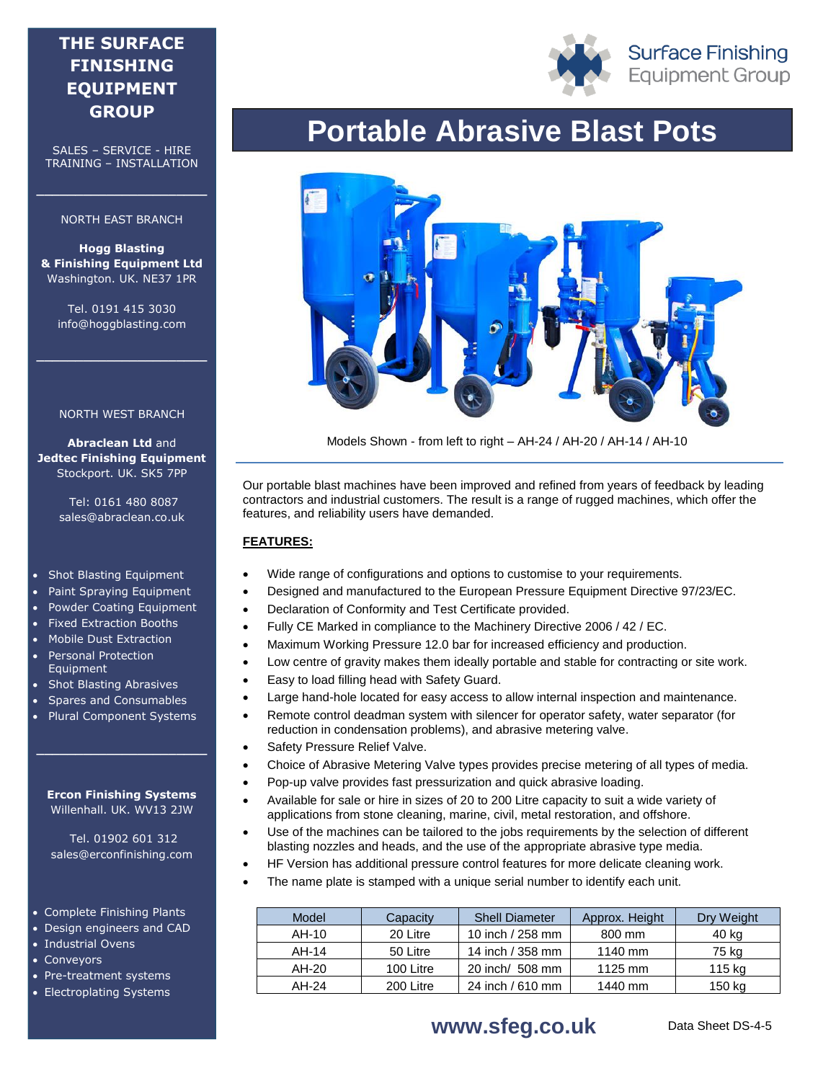## **THE SURFACE FINISHING EQUIPMENT GROUP**

SALES – SERVICE - HIRE TRAINING – INSTALLATION

#### NORTH EAST BRANCH

**\_\_\_\_\_\_\_\_\_\_\_\_\_\_\_\_\_\_\_\_\_\_**

**Hogg Blasting & Finishing Equipment Ltd** Washington. UK. NE37 1PR

Tel. 0191 415 3030 info@hoggblasting.com

**\_\_\_\_\_\_\_\_\_\_\_\_\_\_\_\_\_\_\_\_\_\_**

#### NORTH WEST BRANCH

**Abraclean Ltd** and **Jedtec Finishing Equipment** Stockport. UK. SK5 7PP

> Tel: 0161 480 8087 sales@abraclean.co.uk

- Shot Blasting Equipment
- Paint Spraying Equipment
- Powder Coating Equipment
- Fixed Extraction Booths
- Mobile Dust Extraction
- Personal Protection Equipment
- Shot Blasting Abrasives
- Spares and Consumables
- Plural Component Systems

**\_\_\_\_\_\_\_\_\_\_\_\_\_\_\_\_\_\_\_\_\_\_**

#### **Ercon Finishing Systems** Willenhall. UK. WV13 2JW

Tel. 01902 601 312 sales@erconfinishing.com

- Complete Finishing Plants
- Design engineers and CAD
- Industrial Ovens
- Conveyors
- Pre-treatment systems
- Electroplating Systems



# **Portable Abrasive Blast Pots**



Models Shown - from left to right – AH-24 / AH-20 / AH-14 / AH-10

Our portable blast machines have been improved and refined from years of feedback by leading contractors and industrial customers. The result is a range of rugged machines, which offer the features, and reliability users have demanded.

#### **FEATURES:**

- Wide range of configurations and options to customise to your requirements.
- Designed and manufactured to the European Pressure Equipment Directive 97/23/EC.
- Declaration of Conformity and Test Certificate provided.
- Fully CE Marked in compliance to the Machinery Directive 2006 / 42 / EC.
- Maximum Working Pressure 12.0 bar for increased efficiency and production.
- Low centre of gravity makes them ideally portable and stable for contracting or site work.
- Easy to load filling head with Safety Guard.
- Large hand-hole located for easy access to allow internal inspection and maintenance.
- Remote control deadman system with silencer for operator safety, water separator (for reduction in condensation problems), and abrasive metering valve.
- Safety Pressure Relief Valve.
- Choice of Abrasive Metering Valve types provides precise metering of all types of media.
- Pop-up valve provides fast pressurization and quick abrasive loading.
- Available for sale or hire in sizes of 20 to 200 Litre capacity to suit a wide variety of applications from stone cleaning, marine, civil, metal restoration, and offshore.
- Use of the machines can be tailored to the jobs requirements by the selection of different blasting nozzles and heads, and the use of the appropriate abrasive type media.
- HF Version has additional pressure control features for more delicate cleaning work.
- The name plate is stamped with a unique serial number to identify each unit.

| Model | Capacity  | <b>Shell Diameter</b> | Approx. Height | Dry Weight |
|-------|-----------|-----------------------|----------------|------------|
| AH-10 | 20 Litre  | 10 inch / 258 mm      | 800 mm         | 40 kg      |
| AH-14 | 50 Litre  | 14 inch / 358 mm      | 1140 mm        | 75 kg      |
| AH-20 | 100 Litre | 20 inch/ 508 mm       | 1125 mm        | 115 kg     |
| AH-24 | 200 Litre | 24 inch / 610 mm      | 1440 mm        | 150 kg     |

### **WWW.Sfeg.co.uk** Data Sheet DS-4-5